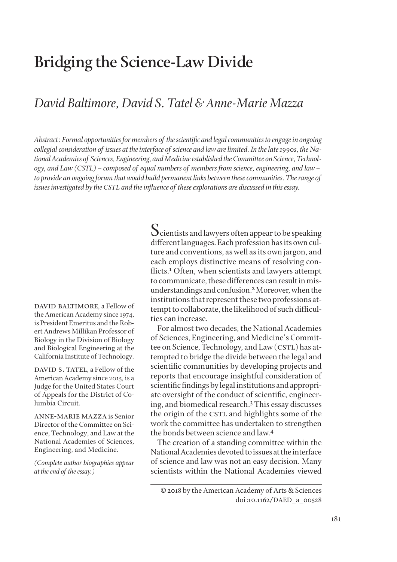## **Bridging the Science-Law Divide**

## *David Baltimore, David S. Tatel & Anne-Marie Mazza*

*Abstract: Formal opportunities for members of the scientific and legal communities to engage in ongoing collegial consideration of issues at the interface of science and law are limited. In the late 1990s, the National Academies of Sciences, Engineering, and Medicine established the Committee on Science, Technology, and Law (CSTL)–composed of equal numbers of members from science, engineering, and law– to provide an ongoing forum that would build permanent links between these communities. The range of issues investigated by the CSTL and the influence of these explorations are discussed in this essay.*

DAVID BALTIMORE, a Fellow of the American Academy since 1974, is President Emeritus and the Robert Andrews Millikan Professor of Biology in the Division of Biology and Biological Engineering at the California Institute of Technology.

DAVID S. TATEL, a Fellow of the American Academy since 2015, is a Judge for the United States Court of Appeals for the District of Columbia Circuit.

anne-marie mazza is Senior Director of the Committee on Science, Technology, and Law at the National Academies of Sciences, Engineering, and Medicine.

*(Complete author biographies appear at the end of the essay.)*

Scientists and lawyers often appear to be speaking different languages. Each profession has its own culture and conventions, as well as its own jargon, and each employs distinctive means of resolving conflicts.<sup>1</sup> Often, when scientists and lawyers attempt to communicate, these differences can result in misunderstandings and confusion.2 Moreover, when the institutions that represent these two professions attempt to collaborate, the likelihood of such difficulties can increase.

For almost two decades, the National Academies of Sciences, Engineering, and Medicine's Committee on Science, Technology, and Law (CSTL) has attempted to bridge the divide between the legal and scientific communities by developing projects and reports that encourage insightful consideration of scientific findings by legal institutions and appropriate oversight of the conduct of scientific, engineering, and biomedical research.3 This essay discusses the origin of the CSTL and highlights some of the work the committee has undertaken to strengthen the bonds between science and law.<sup>4</sup>

The creation of a standing committee within the National Academies devoted to issues at the interface of science and law was not an easy decision. Many scientists within the National Academies viewed

<sup>© 2018</sup> by the American Academy of Arts & Sciences doi:10.1162/DAED\_a\_00528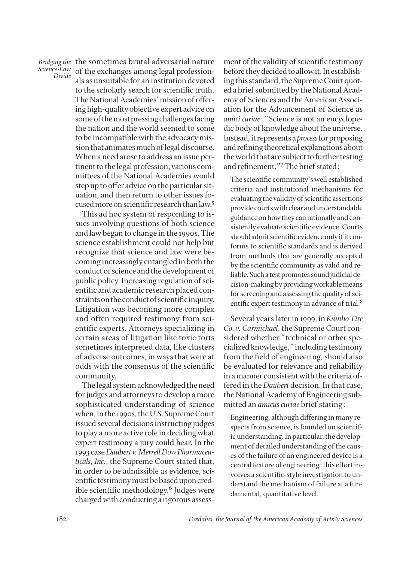*Science-Law Divide*

*Bridging the*  the sometimes brutal adversarial nature of the exchanges among legal professionals as unsuitable for an institution devoted to the scholarly search for scientific truth. The National Academies' mission of offering high-quality objective expert advice on some of the most pressing challenges facing the nation and the world seemed to some to be incompatible with the advocacy mission that animates much of legal discourse. When a need arose to address an issue pertinent to the legal profession, various committees of the National Academies would step up to offer advice on the particular situation, and then return to other issues focused more on scientific research than law.5

> This ad hoc system of responding to issues involving questions of both science and law began to change in the 1990s. The science establishment could not help but recognize that science and law were becoming increasingly entangled in both the conduct of science and the development of public policy. Increasing regulation of scientific and academic research placed constraints on the conduct of scientific inquiry. Litigation was becoming more complex and often required testimony from scientific experts. Attorneys specializing in certain areas of litigation like toxic torts sometimes interpreted data, like clusters of adverse outcomes, in ways that were at odds with the consensus of the scientific community.

> The legal system acknowledged the need for judges and attorneys to develop a more sophisticated understanding of science when, in the 1990s, the U.S. Supreme Court issued several decisions instructing judges to play a more active role in deciding what expert testimony a jury could hear. In the 1993 case *Daubert v. Merrell Dow Pharmaceuticals, Inc.*, the Supreme Court stated that, in order to be admissible as evidence, scientific testimony must be based upon credible scientific methodology.6 Judges were charged with conducting a rigorous assess

ment of the validity of scientific testimony before they decided to allow it. In establishing this standard, the Supreme Court quoted a brief submitted by the National Academy of Sciences and the American Association for the Advancement of Science as *amici curiae*: "Science is not an encyclopedic body of knowledge about the universe. Instead, it represents a *process* for proposing and refining theoretical explanations about the world that are subject to further testing and refinement."7 The brief stated:

The scientific community's well established criteria and institutional mechanisms for evaluating the validity of scientific assertions provide courts with clear and understandable guidance on how they can rationally and consistently evaluate scientific evidence. Courts should admit scientific evidence only if it conforms to scientific standards and is derived from methods that are generally accepted by the scientific community as valid and reliable. Such a test promotes sound judicial decision-making by providing workable means for screening and assessing the quality of scientific expert testimony in advance of trial.<sup>8</sup>

Several years later in 1999, in *Kumho Tire Co. v. Carmichael*, the Supreme Court considered whether "technical or other specialized knowledge," including testimony from the field of engineering, should also be evaluated for relevance and reliability in a manner consistent with the criteria offered in the *Daubert* decision. In that case, the National Academy of Engineering submitted an *amicus curiae* brief stating:

Engineering, although differing in many respects from science, is founded on scientific understanding. In particular, the development of detailed understanding of the causes of the failure of an engineered device is a central feature of engineering: this effort involves a scientific-style investigation to understand the mechanism of failure at a fundamental, quantitative level.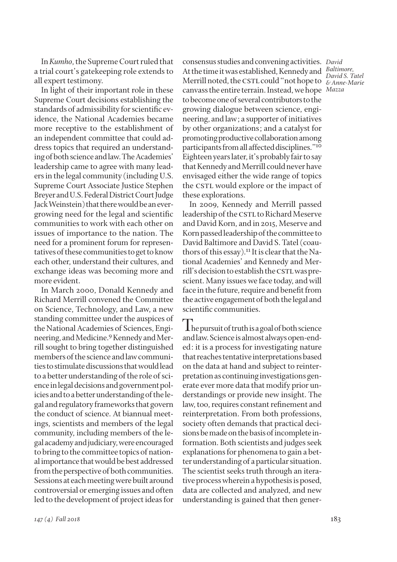In *Kumho*, the Supreme Court ruled that a trial court's gatekeeping role extends to all expert testimony.

In light of their important role in these Supreme Court decisions establishing the standards of admissibility for scientific evidence, the National Academies became more receptive to the establishment of an independent committee that could address topics that required an understanding of both science and law. The Academies' leadership came to agree with many leaders in the legal community (including U.S. Supreme Court Associate Justice Stephen Breyer and U.S. Federal District Court Judge Jack Weinstein) that there would be an evergrowing need for the legal and scientific communities to work with each other on issues of importance to the nation. The need for a prominent forum for representatives of these communities to get to know each other, understand their cultures, and exchange ideas was becoming more and more evident.

In March 2000, Donald Kennedy and Richard Merrill convened the Committee on Science, Technology, and Law, a new standing committee under the auspices of the National Academies of Sciences, Engineering, and Medicine.9 Kennedy and Merrill sought to bring together distinguished members of the science and law communities to stimulate discussions that would lead to a better understanding of the role of science in legal decisions and government policies and to a better understanding of the legal and regulatory frameworks that govern the conduct of science. At biannual meetings, scientists and members of the legal community, including members of the legal academy and judiciary, were encouraged to bring to the committee topics of national importance that would be best addressed from the perspective of both communities. Sessions at each meeting were built around controversial or emerging issues and often led to the development of project ideas for

consensus studies and convening activities. David At the time it was established, Kennedy and Baltimore, Merrill noted, the CSTL could "not hope to  $\frac{Duvu}{\delta}$  Anne-Marie canvass the entire terrain. Instead, we hope Mazza to become one of several contributors to the growing dialogue between science, engineering, and law; a supporter of initiatives by other organizations; and a catalyst for promoting productive collaboration among participants from all affected disciplines."10 Eighteen years later, it's probably fair to say that Kennedy and Merrill could never have envisaged either the wide range of topics the CSTL would explore or the impact of these explorations.

In 2009, Kennedy and Merrill passed leadership of the CSTL to Richard Meserve and David Korn, and in 2015, Meserve and Korn passed leadership of the committee to David Baltimore and David S. Tatel (coauthors of this essay).<sup>11</sup> It is clear that the National Academies' and Kennedy and Merrill's decision to establish the CSTL was prescient. Many issues we face today, and will face in the future, require and benefit from the active engagement of both the legal and scientific communities.

 $\mathbf 1$  he pursuit of truth is a goal of both science and law. Science is almost always open-ended: it is a process for investigating nature that reaches tentative interpretations based on the data at hand and subject to reinterpretation as continuing investigations generate ever more data that modify prior understandings or provide new insight. The law, too, requires constant refinement and reinterpretation. From both professions, society often demands that practical decisions be made on the basis of incomplete information. Both scientists and judges seek explanations for phenomena to gain a better understanding of a particular situation. The scientist seeks truth through an iterative process wherein a hypothesis is posed, data are collected and analyzed, and new understanding is gained that then gener-

*David S. Tatel*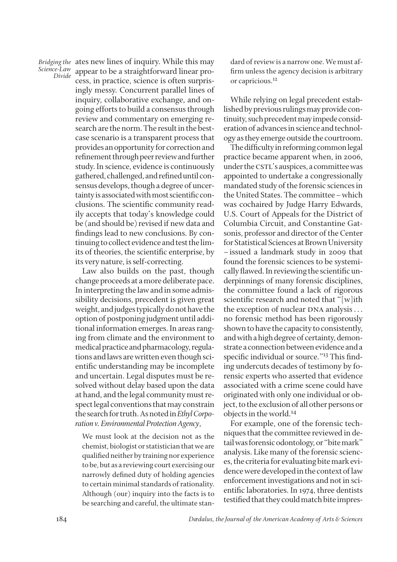*Science-Law Divide*

*Bridging the*  ates new lines of inquiry. While this may appear to be a straightforward linear process, in practice, science is often surprisingly messy. Concurrent parallel lines of inquiry, collaborative exchange, and ongoing efforts to build a consensus through review and commentary on emerging research are the norm. The result in the bestcase scenario is a transparent process that provides an opportunity for correction and refinement through peer review and further study. In science, evidence is continuously gathered, challenged, and refined until consensus develops, though a degree of uncertainty is associated with most scientific conclusions. The scientific community readily accepts that today's knowledge could be (and should be) revised if new data and findings lead to new conclusions. By continuing to collect evidence and test the limits of theories, the scientific enterprise, by its very nature, is self-correcting.

Law also builds on the past, though change proceeds at a more deliberate pace. In interpreting the law and in some admissibility decisions, precedent is given great weight, and judges typically do not have the option of postponing judgment until additional information emerges. In areas ranging from climate and the environment to medical practice and pharmacology, regulations and laws are written even though scientific understanding may be incomplete and uncertain. Legal disputes must be resolved without delay based upon the data at hand, and the legal community must respect legal conventions that may constrain the search for truth. As noted in *Ethyl Corporation v. Environmental Protection Agency*,

We must look at the decision not as the chemist, biologist or statistician that we are qualified neither by training nor experience to be, but as a reviewing court exercising our narrowly defined duty of holding agencies to certain minimal standards of rationality. Although (our) inquiry into the facts is to be searching and careful, the ultimate standard of review is a narrow one. We must affirm unless the agency decision is arbitrary or capricious.<sup>12</sup>

While relying on legal precedent established by previous rulings may provide continuity, such precedent may impede consideration of advances in science and technology as they emerge outside the courtroom.

The difficulty in reforming common legal practice became apparent when, in 2006, under the CSTL's auspices, a committee was appointed to undertake a congressionally mandated study of the forensic sciences in the United States. The committee–which was cochaired by Judge Harry Edwards, U.S. Court of Appeals for the District of Columbia Circuit, and Constantine Gatsonis, professor and director of the Center for Statistical Sciences at Brown University –issued a landmark study in 2009 that found the forensic sciences to be systemically flawed. In reviewing the scientific underpinnings of many forensic disciplines, the committee found a lack of rigorous scientific research and noted that "[w]ith the exception of nuclear  $DNA$  analysis  $\ldots$ no forensic method has been rigorously shown to have the capacity to consistently, and with a high degree of certainty, demonstrate a connection between evidence and a specific individual or source."<sup>13</sup> This finding undercuts decades of testimony by forensic experts who asserted that evidence associated with a crime scene could have originated with only one individual or object, to the exclusion of all other persons or objects in the world.14

For example, one of the forensic techniques that the committee reviewed in detail was forensic odontology, or "bite mark" analysis. Like many of the forensic sciences, the criteria for evaluating bite mark evidence were developed in the context of law enforcement investigations and not in scientific laboratories. In 1974, three dentists testified that they could match bite impres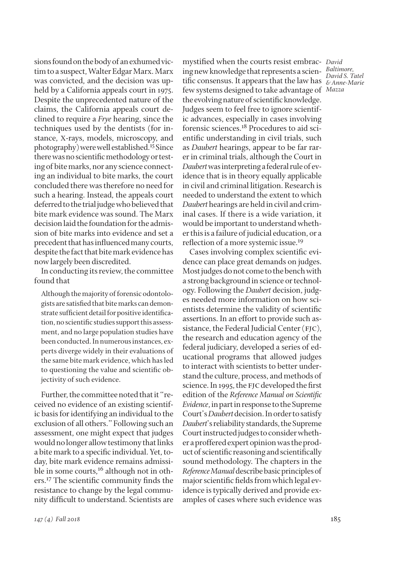sions found on the body of an exhumed victim to a suspect, Walter Edgar Marx. Marx was convicted, and the decision was upheld by a California appeals court in 1975. Despite the unprecedented nature of the claims, the California appeals court declined to require a *Frye* hearing, since the techniques used by the dentists (for instance, X-rays, models, microscopy, and photography) were well established.15 Since there was no scientific methodology or testing of bite marks, nor any science connecting an individual to bite marks, the court concluded there was therefore no need for such a hearing. Instead, the appeals court deferred to the trial judge who believed that bite mark evidence was sound. The Marx decision laid the foundation for the admission of bite marks into evidence and set a precedent that has influenced many courts, despite the fact that bite mark evidence has now largely been discredited.

In conducting its review, the committee found that

Although the majority of forensic odontologists are satisfied that bite marks can demonstrate sufficient detail for positive identification, no scientific studies support this assessment, and no large population studies have been conducted. In numerous instances, experts diverge widely in their evaluations of the same bite mark evidence, which has led to questioning the value and scientific objectivity of such evidence.

Further, the committee noted that it "received no evidence of an existing scientific basis for identifying an individual to the exclusion of all others." Following such an assessment, one might expect that judges would no longer allow testimony that links a bite mark to a specific individual. Yet, today, bite mark evidence remains admissible in some courts,<sup>16</sup> although not in others.17 The scientific community finds the resistance to change by the legal community difficult to understand. Scientists are

mystified when the courts resist embrac- David ing new knowledge that represents a scien-Baltimore, tific consensus. It appears that the law has  $\frac{B}{\&\text{A}nne\text{Marie}}$ few systems designed to take advantage of Mazza the evolving nature of scientific knowledge. Judges seem to feel free to ignore scientific advances, especially in cases involving forensic sciences.18 Procedures to aid scientific understanding in civil trials, such as *Daubert* hearings, appear to be far rarer in criminal trials, although the Court in *Daubert* was interpreting a federal rule of evidence that is in theory equally applicable in civil and criminal litigation. Research is needed to understand the extent to which *Daubert* hearings are held in civil and criminal cases. If there is a wide variation, it would be important to understand whether this is a failure of judicial education, or a reflection of a more systemic issue.19

Cases involving complex scientific evidence can place great demands on judges. Most judges do not come to the bench with a strong background in science or technology. Following the *Daubert* decision, judges needed more information on how scientists determine the validity of scientific assertions. In an effort to provide such assistance, the Federal Judicial Center (FJC), the research and education agency of the federal judiciary, developed a series of educational programs that allowed judges to interact with scientists to better understand the culture, process, and methods of science. In 1995, the FJC developed the first edition of the *Reference Manual on Scientific Evidence*, in part in response to the Supreme Court's *Daubert* decision. In order to satisfy *Daubert*'s reliability standards, the Supreme Court instructed judges to consider whether a proffered expert opinion was the product of scientific reasoning and scientifically sound methodology. The chapters in the *Reference Manual* describe basic principles of major scientific fields from which legal evidence is typically derived and provide examples of cases where such evidence was

*David S. Tatel*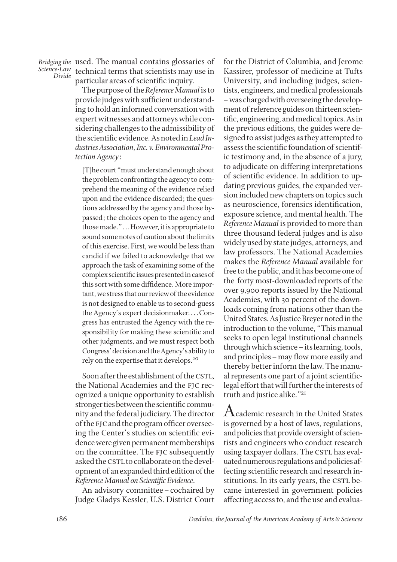*Divide*

*Bridging the*  used. The manual contains glossaries of *Science-Law* technical terms that scientists may use in particular areas of scientific inquiry.

> The purpose of the *Reference Manual* is to provide judges with sufficient understanding to hold an informed conversation with expert witnesses and attorneys while considering challenges to the admissibility of the scientific evidence. As noted in *Lead Industries Association, Inc. v. Environmental Protection Agency*:

[T]he court "must understand enough about the problem confronting the agency to comprehend the meaning of the evidence relied upon and the evidence discarded; the questions addressed by the agency and those bypassed; the choices open to the agency and those made." . . . However, it is appropriate to sound some notes of caution about the limits of this exercise. First, we would be less than candid if we failed to acknowledge that we approach the task of examining some of the complex scientific issues presented in cases of this sort with some diffidence. More important, we stress that our review of the evidence is not designed to enable us to second-guess the Agency's expert decisionmaker. . . . Congress has entrusted the Agency with the responsibility for making these scientific and other judgments, and we must respect both Congress' decision and the Agency's ability to rely on the expertise that it develops.20

Soon after the establishment of the CSTL, the National Academies and the fjc recognized a unique opportunity to establish stronger ties between the scientific community and the federal judiciary. The director of the fjc and the program officer overseeing the Center's studies on scientific evidence were given permanent memberships on the committee. The fjc subsequently asked the CSTL to collaborate on the development of an expanded third edition of the *Reference Manual on Scientific Evidence*.

An advisory committee–cochaired by Judge Gladys Kessler, U.S. District Court

for the District of Columbia, and Jerome Kassirer, professor of medicine at Tufts University, and including judges, scientists, engineers, and medical professionals –was charged with overseeing the development of reference guides on thirteen scientific, engineering, and medical topics. As in the previous editions, the guides were designed to assist judges as they attempted to assess the scientific foundation of scientific testimony and, in the absence of a jury, to adjudicate on differing interpretations of scientific evidence. In addition to updating previous guides, the expanded version included new chapters on topics such as neuroscience, forensics identification, exposure science, and mental health. The *Reference Manual* is provided to more than three thousand federal judges and is also widely used by state judges, attorneys, and law professors. The National Academies makes the *Reference Manual* available for free to the public, and it has become one of the forty most-downloaded reports of the over 9,900 reports issued by the National Academies, with 30 percent of the downloads coming from nations other than the United States. As Justice Breyer noted in the introduction to the volume, "This manual seeks to open legal institutional channels through which science–its learning, tools, and principles–may flow more easily and thereby better inform the law. The manual represents one part of a joint scientificlegal effort that will further the interests of truth and justice alike."21

 $A$ cademic research in the United States is governed by a host of laws, regulations, and policies that provide oversight of scientists and engineers who conduct research using taxpayer dollars. The CSTL has evaluated numerous regulations and policies affecting scientific research and research institutions. In its early years, the CSTL became interested in government policies affecting access to, and the use and evalua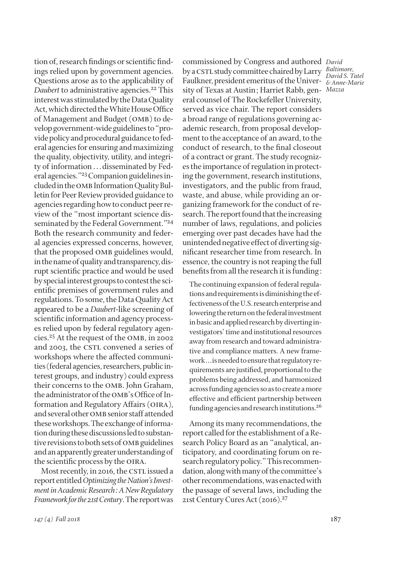tion of, research findings or scientific findings relied upon by government agencies. Questions arose as to the applicability of *Daubert* to administrative agencies.<sup>22</sup> This interest was stimulated by the Data Quality Act, which directed the White House Office of Management and Budget (omb) to develop government-wide guidelines to "provide policy and procedural guidance to federal agencies for ensuring and maximizing the quality, objectivity, utility, and integrity of information . . . disseminated by Federal agencies."23 Companion guidelines included in the OMB Information Quality Bulletin for Peer Review provided guidance to agencies regarding how to conduct peer review of the "most important science disseminated by the Federal Government."<sup>24</sup> Both the research community and federal agencies expressed concerns, however, that the proposed OMB guidelines would, in the name of quality and transparency, disrupt scientific practice and would be used by special interest groups to contest the scientific premises of government rules and regulations. To some, the Data Quality Act appeared to be a *Daubert*-like screening of scientific information and agency processes relied upon by federal regulatory agencies.25 At the request of the omb, in 2002 and 2003, the CSTL convened a series of workshops where the affected communities (federal agencies, researchers, public interest groups, and industry) could express their concerns to the OMB. John Graham, the administrator of the omb's Office of Information and Regulatory Affairs (oira), and several other OMB senior staff attended these workshops. The exchange of information during these discussions led to substantive revisions to both sets of omb guidelines and an apparently greater understanding of the scientific process by the oira.

Most recently, in 2016, the CSTL issued a report entitled *Optimizing the Nation's Investment in Academic Research: A New Regulatory Framework for the 21st Century*. The report was

commissioned by Congress and authored David by a CSTL study committee chaired by Larry Baltimore, Faulkner, president emeritus of the Univer- & Anne-Marie sity of Texas at Austin; Harriet Rabb, gen- Mazza eral counsel of The Rockefeller University, served as vice chair. The report considers a broad range of regulations governing academic research, from proposal development to the acceptance of an award, to the conduct of research, to the final closeout of a contract or grant. The study recognizes the importance of regulation in protecting the government, research institutions, investigators, and the public from fraud, waste, and abuse, while providing an organizing framework for the conduct of research. The report found that the increasing number of laws, regulations, and policies emerging over past decades have had the unintended negative effect of diverting significant researcher time from research. In essence, the country is not reaping the full benefits from all the research it is funding:

The continuing expansion of federal regulations and requirements is diminishing the effectiveness of the U.S. research enterprise and lowering the return on the federal investment in basic and applied research by diverting investigators' time and institutional resources away from research and toward administrative and compliance matters. A new framework . . . is needed to ensure that regulatory requirements are justified, proportional to the problems being addressed, and harmonized across funding agencies so as to create a more effective and efficient partnership between funding agencies and research institutions.26

Among its many recommendations, the report called for the establishment of a Research Policy Board as an "analytical, anticipatory, and coordinating forum on research regulatory policy." This recommendation, along with many of the committee's other recommendations, was enacted with the passage of several laws, including the 21st Century Cures Act (2016).<sup>27</sup>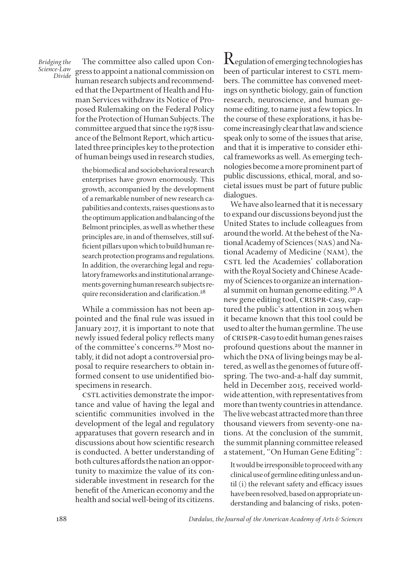*Bridging the Science-Law Divide*

The committee also called upon Congress to appoint a national commission on human research subjects and recommended that the Department of Health and Human Services withdraw its Notice of Proposed Rulemaking on the Federal Policy for the Protection of Human Subjects. The committee argued that since the 1978 issuance of the Belmont Report, which articulated three principles key to the protection of human beings used in research studies,

the biomedical and sociobehavioral research enterprises have grown enormously. This growth, accompanied by the development of a remarkable number of new research capabilities and contexts, raises questions as to the optimum application and balancing of the Belmont principles, as well as whether these principles are, in and of themselves, still sufficient pillars upon which to build human research protection programs and regulations. In addition, the overarching legal and regulatory frameworks and institutional arrangements governing human research subjects require reconsideration and clarification.28

While a commission has not been appointed and the final rule was issued in January 2017, it is important to note that newly issued federal policy reflects many of the committee's concerns.29 Most notably, it did not adopt a controversial proposal to require researchers to obtain informed consent to use unidentified biospecimens in research.

cstl activities demonstrate the importance and value of having the legal and scientific communities involved in the development of the legal and regulatory apparatuses that govern research and in discussions about how scientific research is conducted. A better understanding of both cultures affords the nation an opportunity to maximize the value of its considerable investment in research for the benefit of the American economy and the health and social well-being of its citizens.

Regulation of emerging technologies has been of particular interest to CSTL members. The committee has convened meetings on synthetic biology, gain of function research, neuroscience, and human genome editing, to name just a few topics. In the course of these explorations, it has become increasingly clear that law and science speak only to some of the issues that arise, and that it is imperative to consider ethical frameworks as well. As emerging technologies become a more prominent part of public discussions, ethical, moral, and societal issues must be part of future public dialogues.

We have also learned that it is necessary to expand our discussions beyond just the United States to include colleagues from around the world. At the behest of the National Academy of Sciences (nas) and National Academy of Medicine (nam), the CSTL led the Academies' collaboration with the Royal Society and Chinese Academy of Sciences to organize an international summit on human genome editing.30 A new gene editing tool, CRISPR-Cas9, captured the public's attention in 2015 when it became known that this tool could be used to alter the human germline. The use of crispr-cas9 to edit human genes raises profound questions about the manner in which the DNA of living beings may be altered, as well as the genomes of future offspring. The two-and-a-half day summit, held in December 2015, received worldwide attention, with representatives from more than twenty countries in attendance. The live webcast attracted more than three thousand viewers from seventy-one nations. At the conclusion of the summit, the summit planning committee released a statement, "On Human Gene Editing":

It would be irresponsible to proceed with any clinical use of germline editing unless and until (i) the relevant safety and efficacy issues have been resolved, based on appropriate understanding and balancing of risks, poten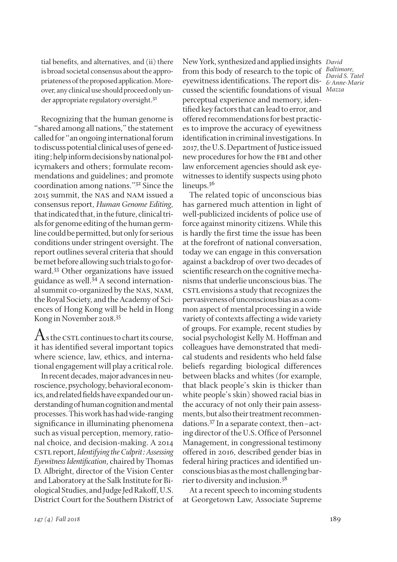tial benefits, and alternatives, and (ii) there is broad societal consensus about the appropriateness of the proposed application. Moreover, any clinical use should proceed only under appropriate regulatory oversight.31

Recognizing that the human genome is "shared among all nations," the statement called for "an ongoing international forum to discuss potential clinical uses of gene editing; help inform decisions by national policymakers and others; formulate recommendations and guidelines; and promote coordination among nations."32 Since the 2015 summit, the nas and nam issued a consensus report, *Human Genome Editing,*  that indicated that, in the future, clinical trials for genome editing of the human germline could be permitted, but only for serious conditions under stringent oversight. The report outlines several criteria that should be met before allowing such trials to go forward.33 Other organizations have issued guidance as well.34 A second international summit co-organized by the nas, nam, the Royal Society, and the Academy of Sciences of Hong Kong will be held in Hong Kong in November 2018.35

s the CSTL continues to chart its course. it has identified several important topics where science, law, ethics, and international engagement will play a critical role.

In recent decades, major advances in neuroscience, psychology, behavioral economics, and related fields have expanded our understanding of human cognition and mental processes. This work has had wide-ranging significance in illuminating phenomena such as visual perception, memory, rational choice, and decision-making. A 2014 cstl report, *Identifying the Culprit: Assessing Eyewitness Identification*, chaired by Thomas D. Albright, director of the Vision Center and Laboratory at the Salk Institute for Biological Studies, and Judge Jed Rakoff, U.S. District Court for the Southern District of

New York, synthesized and applied insights David from this body of research to the topic of Baltimore, *& Anne-Marie*  eyewitness identifications. The report dis-*Mazza* cussed the scientific foundations of visual perceptual experience and memory, identified key factors that can lead to error, and offered recommendations for best practices to improve the accuracy of eyewitness identification in criminal investigations. In 2017, the U.S. Department of Justice issued new procedures for how the FBI and other law enforcement agencies should ask eyewitnesses to identify suspects using photo lineups.<sup>36</sup>

The related topic of unconscious bias has garnered much attention in light of well-publicized incidents of police use of force against minority citizens. While this is hardly the first time the issue has been at the forefront of national conversation, today we can engage in this conversation against a backdrop of over two decades of scientific research on the cognitive mechanisms that underlie unconscious bias. The cstl envisions a study that recognizes the pervasiveness of unconscious bias as a common aspect of mental processing in a wide variety of contexts affecting a wide variety of groups. For example, recent studies by social psychologist Kelly M. Hoffman and colleagues have demonstrated that medical students and residents who held false beliefs regarding biological differences between blacks and whites (for example, that black people's skin is thicker than white people's skin) showed racial bias in the accuracy of not only their pain assessments, but also their treatment recommendations.37 In a separate context, then–acting director of the U.S. Office of Personnel Management, in congressional testimony offered in 2016, described gender bias in federal hiring practices and identified unconscious bias as the most challenging barrier to diversity and inclusion.38

At a recent speech to incoming students at Georgetown Law, Associate Supreme

*David S. Tatel*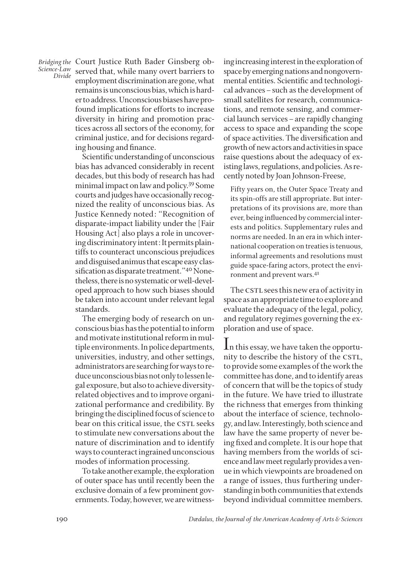*Science-Law Divide*

*Bridging the*  Court Justice Ruth Bader Ginsberg observed that, while many overt barriers to employment discrimination are gone, what remains is unconscious bias, which is harder to address. Unconscious biases have profound implications for efforts to increase diversity in hiring and promotion practices across all sectors of the economy, for criminal justice, and for decisions regarding housing and finance.

> Scientific understanding of unconscious bias has advanced considerably in recent decades, but this body of research has had minimal impact on law and policy.39 Some courts and judges have occasionally recognized the reality of unconscious bias. As Justice Kennedy noted: "Recognition of disparate-impact liability under the [Fair Housing Act] also plays a role in uncovering discriminatory intent: It permits plaintiffs to counteract unconscious prejudices and disguised animus that escape easy classification as disparate treatment."40 Nonetheless, there is no systematic or well-developed approach to how such biases should be taken into account under relevant legal standards.

> The emerging body of research on unconscious bias has the potential to inform and motivate institutional reform in multiple environments. In police departments, universities, industry, and other settings, administrators are searching for ways to reduce unconscious bias not only to lessen legal exposure, but also to achieve diversityrelated objectives and to improve organizational performance and credibility. By bringing the disciplined focus of science to bear on this critical issue, the CSTL seeks to stimulate new conversations about the nature of discrimination and to identify ways to counteract ingrained unconscious modes of information processing.

> To take another example, the exploration of outer space has until recently been the exclusive domain of a few prominent governments. Today, however, we are witness

ing increasing interest in the exploration of space by emerging nations and nongovernmental entities. Scientific and technological advances–such as the development of small satellites for research, communications, and remote sensing, and commercial launch services–are rapidly changing access to space and expanding the scope of space activities. The diversification and growth of new actors and activities in space raise questions about the adequacy of existing laws, regulations, and policies. As recently noted by Joan Johnson-Freese,

Fifty years on, the Outer Space Treaty and its spin-offs are still appropriate. But interpretations of its provisions are, more than ever, being influenced by commercial interests and politics. Supplementary rules and norms are needed. In an era in which international cooperation on treaties is tenuous, informal agreements and resolutions must guide space-faring actors, protect the environment and prevent wars.41

The CSTL sees this new era of activity in space as an appropriate time to explore and evaluate the adequacy of the legal, policy, and regulatory regimes governing the exploration and use of space.

 $\mathbf{I}$ n this essay, we have taken the opportunity to describe the history of the CSTL, to provide some examples of the work the committee has done, and to identify areas of concern that will be the topics of study in the future. We have tried to illustrate the richness that emerges from thinking about the interface of science, technology, and law. Interestingly, both science and law have the same property of never being fixed and complete. It is our hope that having members from the worlds of science and law meet regularly provides a venue in which viewpoints are broadened on a range of issues, thus furthering understanding in both communities that extends beyond individual committee members.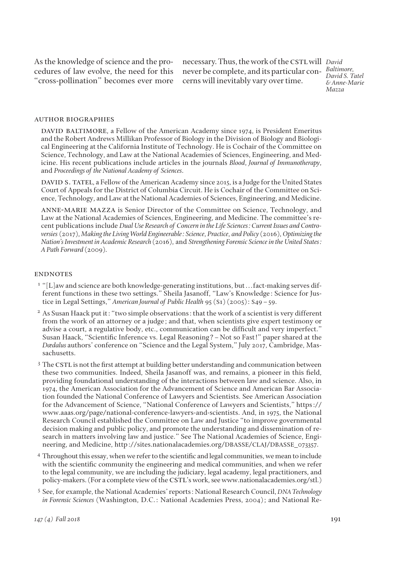As the knowledge of science and the procedures of law evolve, the need for this "cross-pollination" becomes ever more

necessary. Thus, the work of the CSTL will David never be complete, and its particular con-Baltimore, cerns will inevitably vary over time.

*David S. Tatel & Anne-Marie Mazza*

## author biographies

DAVID BALTIMORE, a Fellow of the American Academy since 1974, is President Emeritus and the Robert Andrews Millikan Professor of Biology in the Division of Biology and Biological Engineering at the California Institute of Technology. He is Cochair of the Committee on Science, Technology, and Law at the National Academies of Sciences, Engineering, and Medicine. His recent publications include articles in the journals *Blood*, *Journal of Immunotherapy*, and *Proceedings of the National Academy of Sciences*.

DAVID S. TATEL, a Fellow of the American Academy since 2015, is a Judge for the United States Court of Appeals for the District of Columbia Circuit. He is Cochair of the Committee on Science, Technology, and Law at the National Academies of Sciences, Engineering, and Medicine.

anne-marie mazza is Senior Director of the Committee on Science, Technology, and Law at the National Academies of Sciences, Engineering, and Medicine. The committee's recent publications include *Dual Use Research of Concern in the Life Sciences: Current Issues and Controversies* (2017), *Making the Living World Engineerable: Science, Practice, and Policy* (2016), *Optimizing the Nation's Investment in Academic Research* (2016), and *Strengthening Forensic Science in the United States: A Path Forward* (2009).

## **ENDNOTES**

- <sup>1</sup> "[L]aw and science are both knowledge-generating institutions, but . . . fact-making serves different functions in these two settings." Sheila Jasanoff, "Law's Knowledge: Science for Justice in Legal Settings," *American Journal of Public Health* 95 (S1) (2005): S49–59.
- <sup>2</sup> As Susan Haack put it: "two simple observations: that the work of a scientist is very different from the work of an attorney or a judge; and that, when scientists give expert testimony or advise a court, a regulative body, etc., communication can be difficult and very imperfect." Susan Haack, "Scientific Inference vs. Legal Reasoning?–Not so Fast!" paper shared at the *Dædalus* authors' conference on "Science and the Legal System," July 2017, Cambridge, Massachusetts.
- <sup>3</sup> The CSTL is not the first attempt at building better understanding and communication between these two communities. Indeed, Sheila Jasanoff was, and remains, a pioneer in this field, providing foundational understanding of the interactions between law and science. Also, in 1974, the American Association for the Advancement of Science and American Bar Association founded the National Conference of Lawyers and Scientists. See American Association for the Advancement of Science, "National Conference of Lawyers and Scientists," https:// www.aaas.org/page/national-conference-lawyers-and-scientists. And, in 1975, the National Research Council established the Committee on Law and Justice "to improve governmental decision making and public policy, and promote the understanding and dissemination of research in matters involving law and justice." See The National Academies of Science, Engineering, and Medicine, http://sites.nationalacademies.org/DBASSE/CLAJ/DBASSE\_073357.
- <sup>4</sup> Throughout this essay, when we refer to the scientific and legal communities, we mean to include with the scientific community the engineering and medical communities, and when we refer to the legal community, we are including the judiciary, legal academy, legal practitioners, and policy-makers. (For a complete view of the CSTL's work, see www.nationalacademies.org/stl.)
- <sup>5</sup> See, for example, the National Academies' reports: National Research Council, *DNA Technology in Forensic Sciences* (Washington, D.C.: National Academies Press, 2004); and National Re-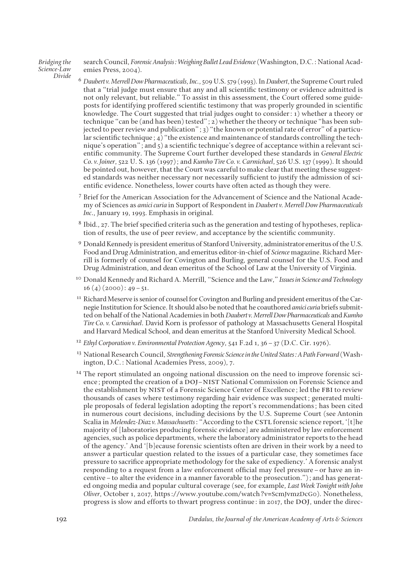*Bridging the Science-Law Divide* search Council, *Forensic Analysis: Weighing Bullet Lead Evidence* (Washington, D.C.: National Academies Press, 2004).

- <sup>6</sup> *Daubert v. Merrell Dow Pharmaceuticals, Inc.*, 509 U.S. 579 (1993). In *Daubert*,the Supreme Court ruled that a "trial judge must ensure that any and all scientific testimony or evidence admitted is not only relevant, but reliable." To assist in this assessment, the Court offered some guideposts for identifying proffered scientific testimony that was properly grounded in scientific knowledge. The Court suggested that trial judges ought to consider: 1) whether a theory or technique "can be (and has been) tested"; 2) whether the theory or technique "has been subjected to peer review and publication"; 3) "the known or potential rate of error" of a particular scientific technique;  $_4$ ) "the existence and maintenance of standards controlling the technique's operation"; and 5) a scientific technique's degree of acceptance within a relevant scientific community. The Supreme Court further developed these standards in *General Electric Co. v. Joiner*, 522 U. S. 136 (1997); and *Kumho Tire Co. v. Carmichael*, 526 U.S. 137 (1999). It should be pointed out, however, that the Court was careful to make clear that meeting these suggested standards was neither necessary nor necessarily sufficient to justify the admission of scientific evidence. Nonetheless, lower courts have often acted as though they were.
- <sup>7</sup> Brief for the American Association for the Advancement of Science and the National Academy of Sciences as *amici curia* in Support of Respondent in *Daubert v. Merrell Dow Pharmaceuticals Inc*., January 19, 1993. Emphasis in original.
- <sup>8</sup> Ibid., 27. The brief specified criteria such as the generation and testing of hypotheses, replication of results, the use of peer review, and acceptance by the scientific community.
- <sup>9</sup> Donald Kennedy is president emeritus of Stanford University, administratoremeritus of the U.S. Food and Drug Administration, and emeritus editor-in-chief of *Science* magazine. Richard Merrill is formerly of counsel for Covington and Burling, general counsel for the U.S. Food and Drug Administration, and dean emeritus of the School of Law at the University of Virginia.
- <sup>10</sup> Donald Kennedy and Richard A. Merrill, "Science and the Law," *Issues in Science and Technology*  $16(4)(2000): 49-51.$
- <sup>11</sup> Richard Meserve is senior of counsel for Covington and Burling and president emeritus of the Carnegie Institution for Science. It should also be noted that he coauthored *amici curia* briefs submitted on behalf of the National Academies in both *Daubert v. Merrell Dow Pharmaceuticals* and *Kumho Tire Co. v. Carmichael*. David Korn is professor of pathology at Massachusetts General Hospital and Harvard Medical School, and dean emeritus at the Stanford University Medical School.
- <sup>12</sup> *Ethyl Corporation v. Environmental Protection Agency*, 541 F.2d 1, 36–37 (D.C. Cir. 1976).
- <sup>13</sup> National Research Council, *Strengthening Forensic Science in the United States: A Path Forward* (Washington, D.C.: National Academies Press, 2009), 7.
- <sup>14</sup> The report stimulated an ongoing national discussion on the need to improve forensic science; prompted the creation of a DOJ–NIST National Commission on Forensic Science and the establishment by NIST of a Forensic Science Center of Excellence; led the FBI to review thousands of cases where testimony regarding hair evidence was suspect; generated multiple proposals of federal legislation adopting the report's recommendations; has been cited in numerous court decisions, including decisions by the U.S. Supreme Court (see Antonin Scalia in *Melendez-Diaz v. Massachusetts*: "According to the CSTL forensic science report, '[t]he majority of [laboratories producing forensic evidence] are administered by law enforcement agencies, such as police departments, where the laboratory administrator reports to the head of the agency.' And '[b]ecause forensic scientists often are driven in their work by a need to answer a particular question related to the issues of a particular case, they sometimes face pressure to sacrifice appropriate methodology for the sake of expediency.' A forensic analyst responding to a request from a law enforcement official may feel pressure–or have an incentive–to alter the evidence in a manner favorable to the prosecution."); and has generated ongoing media and popular cultural coverage (see, for example, *Last Week Tonight with John Oliver*, October 1, 2017, https://www.youtube.com/watch?v=ScmJvmzDcG0). Nonetheless, progress is slow and efforts to thwart progress continue: in 2017, the DOJ, under the direc-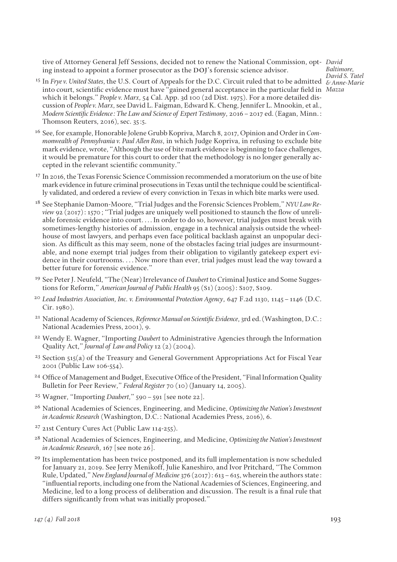tive of Attorney General Jeff Sessions, decided not to renew the National Commission, opt- David ing instead to appoint a former prosecutor as the DOJ's forensic science advisor.

*Baltimore, David S. Tatel* 

- <sup>15</sup> In *Frye v. United States, the U.S. Court of Appeals for the D.C. Circuit ruled that to be admitted & Anne-Marie* into court, scientific evidence must have "gained general acceptance in the particular field in Mazza which it belongs." *People v. Marx*, 54 Cal. App. 3d 100 (2d Dist. 1975). For a more detailed discussion of *People v. Marx*, see David L. Faigman, Edward K. Cheng, Jennifer L. Mnookin, et al., *Modern Scientific Evidence: The Law and Science of Expert Testimony*, 2016–2017 ed.(Eagan, Minn.: Thomson Reuters, 2016), sec. 35:5.
- <sup>16</sup> See, for example, Honorable Jolene Grubb Kopriva, March 8, 2017, Opinion and Order in *Commonwealth of Pennsylvania v. Paul Allen Ross*, in which Judge Kopriva, in refusing to exclude bite mark evidence, wrote, "Although the use of bite mark evidence is beginning to face challenges, it would be premature for this court to order that the methodology is no longer generally accepted in the relevant scientific community."
- <sup>17</sup> In 2016, the Texas Forensic Science Commission recommended a moratorium on the use of bite mark evidence in future criminal prosecutions in Texas until the technique could be scientifically validated, and ordered a review of every conviction in Texas in which bite marks were used.
- <sup>18</sup> See Stephanie Damon-Moore, "Trial Judges and the Forensic Sciences Problem," *NYU Law Review* 92 (2017): 1570; "Trial judges are uniquely well positioned to staunch the flow of unreliable forensic evidence into court. . . . In order to do so, however, trial judges must break with sometimes-lengthy histories of admission, engage in a technical analysis outside the wheelhouse of most lawyers, and perhaps even face political backlash against an unpopular decision. As difficult as this may seem, none of the obstacles facing trial judges are insurmountable, and none exempt trial judges from their obligation to vigilantly gatekeep expert evidence in their courtrooms. . . . Now more than ever, trial judges must lead the way toward a better future for forensic evidence."
- <sup>19</sup> See Peter J. Neufeld, "The (Near) Irrelevance of *Daubert* to Criminal Justice and Some Suggestions for Reform," *American Journal of Public Health* 95 (S1) (2005): S107, S109.
- <sup>20</sup> *Lead Industries Association, Inc. v. Environmental Protection Agency*, 647 F.2d 1130, 1145–1146 (D.C. Cir. 1980).
- <sup>21</sup> National Academy of Sciences, *Reference Manual on Scientific Evidence*, 3rd ed.(Washington, D.C.: National Academies Press, 2001), 9.
- <sup>22</sup> Wendy E. Wagner, "Importing *Daubert* to Administrative Agencies through the Information Quality Act," *Journal of Law and Policy* 12 (2) (2004).
- <sup>23</sup> Section 515(a) of the Treasury and General Government Appropriations Act for Fiscal Year 2001 (Public Law 106-554).
- <sup>24</sup> Office of Management and Budget, Executive Office of the President, "Final Information Quality Bulletin for Peer Review," *Federal Register* 70 (10) (January 14, 2005).
- <sup>25</sup> Wagner, "Importing *Daubert*," 590–591 [see note 22].
- <sup>26</sup> National Academies of Sciences, Engineering, and Medicine, *Optimizing the Nation's Investment in Academic Research* (Washington, D.C.: National Academies Press, 2016), 6.
- <sup>27</sup> 21st Century Cures Act (Public Law 114-255).
- <sup>28</sup> National Academies of Sciences, Engineering, and Medicine, *Optimizing the Nation's Investment in Academic Research*, 167 [see note 26].
- <sup>29</sup> Its implementation has been twice postponed, and its full implementation is now scheduled for January 21, 2019. See Jerry Menikoff, Julie Kaneshiro, and Ivor Pritchard, "The Common Rule, Updated," *New England Journal of Medicine* 376 (2017): 613–615, wherein the authors state: "influential reports, including one from the National Academies of Sciences, Engineering, and Medicine, led to a long process of deliberation and discussion. The result is a final rule that differs significantly from what was initially proposed."